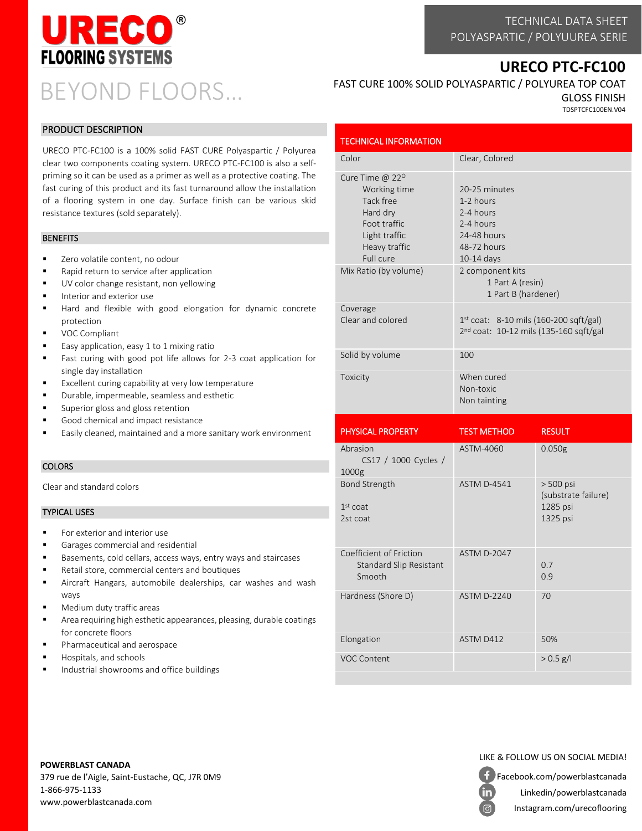

TECHNICAL DATA SHEET POLYASPARTIC / POLYUUREA SERIE

## **URECO PTC-FC100**

# BEYOND FLOORS…

#### PRODUCT DESCRIPTION

URECO PTC-FC100 is a 100% solid FAST CURE Polyaspartic / Polyurea clear two components coating system. URECO PTC-FC100 is also a selfpriming so it can be used as a primer as well as a protective coating. The fast curing of this product and its fast turnaround allow the installation of a flooring system in one day. Surface finish can be various skid resistance textures (sold separately).

#### **BENEFITS**

- Zero volatile content, no odour
- Rapid return to service after application
- UV color change resistant, non yellowing
- Interior and exterior use
- Hard and flexible with good elongation for dynamic concrete protection
- VOC Compliant
- Easy application, easy 1 to 1 mixing ratio
- Fast curing with good pot life allows for 2-3 coat application for single day installation
- Excellent curing capability at very low temperature
- Durable, impermeable, seamless and esthetic
- Superior gloss and gloss retention
- Good chemical and impact resistance
- Easily cleaned, maintained and a more sanitary work environment

#### **COLORS**

Clear and standard colors

#### TYPICAL USES

- For exterior and interior use
- Garages commercial and residential
- Basements, cold cellars, access ways, entry ways and staircases
- Retail store, commercial centers and boutiques
- Aircraft Hangars, automobile dealerships, car washes and wash ways
- Medium duty traffic areas
- Area requiring high esthetic appearances, pleasing, durable coatings for concrete floors
- Pharmaceutical and aerospace
- Hospitals, and schools
- Industrial showrooms and office buildings

## FAST CURE 100% SOLID POLYASPARTIC / POLYUREA TOP COAT

GLOSS FINISH TDSPTCFC100EN.V04

| <b>TECHNICAL INFORMATION</b>                                                                                                                                   |                                                                                                                        |  |
|----------------------------------------------------------------------------------------------------------------------------------------------------------------|------------------------------------------------------------------------------------------------------------------------|--|
| Color                                                                                                                                                          | Clear, Colored                                                                                                         |  |
| Cure Time $@$ 22 <sup>o</sup><br>Working time<br>Tack free<br>Hard dry<br>Foot traffic<br>Light traffic<br>Heavy traffic<br>Full cure<br>Mix Ratio (by volume) | 20-25 minutes<br>1-2 hours<br>2-4 hours<br>2-4 hours<br>24-48 hours<br>48-72 hours<br>$10-14$ days<br>2 component kits |  |
|                                                                                                                                                                | 1 Part A (resin)<br>1 Part B (hardener)                                                                                |  |
| Coverage<br>Clear and colored                                                                                                                                  | $1^{st}$ coat: 8-10 mils (160-200 sqft/gal)<br>$2nd$ coat: 10-12 mils (135-160 sqft/gal                                |  |
| Solid by volume                                                                                                                                                | 100                                                                                                                    |  |
| Toxicity                                                                                                                                                       | When cured<br>Non-toxic<br>Non tainting                                                                                |  |

| <b>PHYSICAL PROPERTY</b>                                     | <b>TEST METHOD</b> | <b>RESULT</b>                                              |
|--------------------------------------------------------------|--------------------|------------------------------------------------------------|
| Abrasion<br>CS17 / 1000 Cycles /<br>1000 <sub>g</sub>        | ASTM-4060          | 0.050 <sub>g</sub>                                         |
| <b>Bond Strength</b><br>$1st$ coat<br>2st coat               | <b>ASTM D-4541</b> | $> 500$ psi<br>(substrate failure)<br>1285 psi<br>1325 psi |
| Coefficient of Friction<br>Standard Slip Resistant<br>Smooth | <b>ASTM D-2047</b> | 0.7<br>0.9                                                 |
| Hardness (Shore D)                                           | <b>ASTM D-2240</b> | 70                                                         |
| Elongation                                                   | ASTM D412          | 50%                                                        |
| <b>VOC Content</b>                                           |                    | $> 0.5$ g/l                                                |
|                                                              |                    |                                                            |

**POWERBLAST CANADA**

379 rue de l'Aigle, Saint-Eustache, QC, J7R 0M9 1-866-975-1133 www.powerblastcanada.com

## LIKE & FOLLOW US ON SOCIAL MEDIA!

Facebook.com/powerblastcanada

in

Linkedin/powerblastcanada Instagram.com/urecoflooring